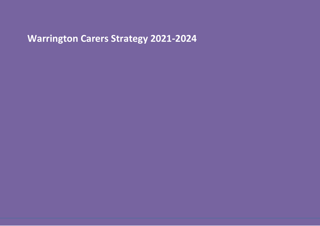# **Warrington Carers Strategy 2021-2024**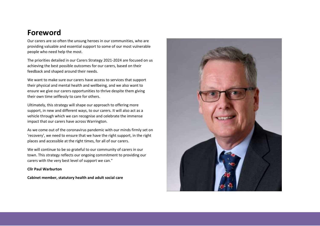### **Foreword**

Our carers are so often the unsung heroes in our communities, who are providing valuable and essential support to some of our most vulnerable people who need help the most.

The priorities detailed in our Carers Strategy 2021-2024 are focused on us achieving the best possible outcomes for our carers, based on their feedback and shaped around their needs.

We want to make sure our carers have access to services that support their physical and mental health and wellbeing, and we also want to ensure we give our carers opportunities to thrive despite them giving their own time selflessly to care for others.

Ultimately, this strategy will shape our approach to offering more support, in new and different ways, to our carers. It will also act as a vehicle through which we can recognise and celebrate the immense impact that our carers have across Warrington.

As we come out of the coronavirus pandemic with our minds firmly set on 'recovery', we need to ensure that we have the right support, in the right places and accessible at the right times, for all of our carers.

We will continue to be so grateful to our community of carers in our town. This strategy reflects our ongoing commitment to providing our carers with the very best level of support we can."

#### **Cllr Paul Warburton**

**Cabinet member, statutory health and adult social care**

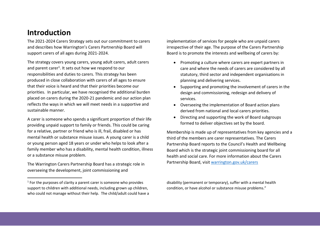## **Introduction**

 $\overline{a}$ 

The 2021-2024 Carers Strategy sets out our commitment to carers and describes how Warrington's Carers Partnership Board will support carers of all ages during 2021-2024.

The strategy covers young carers, young adult carers, adult carers and parent carer<sup>1</sup>. It sets out how we respond to our responsibilities and duties to carers. This strategy has been produced in close collaboration with carers of all ages to ensure that their voice is heard and that their priorities become our priorities. In particular, we have recognised the additional burden placed on carers during the 2020-21 pandemic and our action plan reflects the ways in which we will meet needs in a supportive and sustainable manner.

A carer is someone who spends a significant proportion of their life providing unpaid support to family or friends. This could be caring for a relative, partner or friend who is ill, frail, disabled or has mental health or substance misuse issues. A young carer is a child or young person aged 18 years or under who helps to look after a family member who has a disability, mental health condition, illness or a substance misuse problem.

The Warrington Carers Partnership Board has a strategic role in overseeing the development, joint commissioning and

implementation of services for people who are unpaid carers irrespective of their age. The purpose of the Carers Partnership Board is to promote the interests and wellbeing of carers by:

- Promoting a culture where carers are expert partners in care and where the needs of carers are considered by all statutory, third sector and independent organisations in planning and delivering services.
- Supporting and promoting the involvement of carers in the design and commissioning, redesign and delivery of services.
- Overseeing the implementation of Board action plans derived from national and local carers priorities.
- Directing and supporting the work of Board subgroups formed to deliver objectives set by the board.

Membership is made up of representatives from key agencies and a third of the members are carer representatives. The Carers Partnership Board reports to the Council's Health and Wellbeing Board which is the strategic joint commissioning board for all health and social care. For more information about the Carers Partnership Board, visit [warrington.gov.uk/carers](http://www.warrington.gov.uk/carers)

disability (permanent or temporary), suffer with a mental health condition, or have alcohol or substance misuse problems."

<sup>&</sup>lt;sup>1</sup> For the purposes of clarity a parent carer is someone who provides support to children with additional needs, including grown up children, who could not manage without their help. The child/adult could have a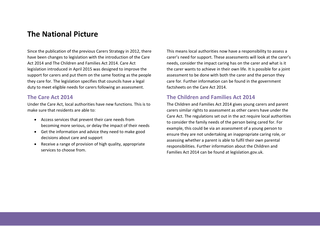### **The National Picture**

Since the publication of the previous Carers Strategy in 2012, there have been changes to legislation with the introduction of the Care Act 2014 and The Children and Families Act 2014. Care Act legislation introduced in April 2015 was designed to improve the support for carers and put them on the same footing as the people they care for. The legislation specifies that councils have a legal duty to meet eligible needs for carers following an assessment.

### **The Care Act 2014**

Under the Care Act, local authorities have new functions. This is to make sure that residents are able to:

- Access services that prevent their care needs from becoming more serious, or delay the impact of their needs
- Get the information and advice they need to make good decisions about care and support
- Receive a range of provision of high quality, appropriate services to choose from.

This means local authorities now have a responsibility to assess a carer's need for support. These assessments will look at the carer's needs, consider the impact caring has on the carer and what is it the carer wants to achieve in their own life. It is possible for a joint assessment to be done with both the carer and the person they care for. Further information can be found in the government factsheets on the Care Act 2014.

### **The Children and Families Act 2014**

The Children and Families Act 2014 gives young carers and parent carers similar rights to assessment as other carers have under the Care Act. The regulations set out in the act require local authorities to consider the family needs of the person being cared for. For example, this could be via an assessment of a young person to ensure they are not undertaking an inappropriate caring role, or assessing whether a parent is able to fulfil their own parental responsibilities. Further information about the Children and Families Act 2014 can be found at legislation.gov.uk.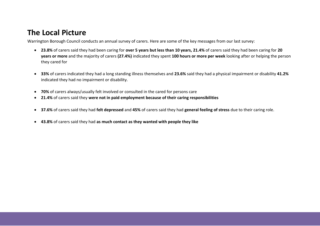## **The Local Picture**

Warrington Borough Council conducts an annual survey of carers. Here are some of the key messages from our last survey:

- **23.8%** of carers said they had been caring for **over 5 years but less than 10 years, 21.4%** of carers said they had been caring for **20 years or more** and the majority of carers **(27.4%)** indicated they spent **100 hours or more per week** looking after or helping the person they cared for
- **33%** of carers indicated they had a long standing illness themselves and **23.6%** said they had a physical impairment or disability **41.2%**  indicated they had no impairment or disability.
- **70%** of carers always/usually felt involved or consulted in the cared for persons care
- **21.4%** of carers said they **were not in paid employment because of their caring responsibilities**
- **37.6%** of carers said they had **felt depressed** and **45%** of carers said they had **general feeling of stress** due to their caring role.
- **43.8%** of carers said they had **as much contact as they wanted with people they like**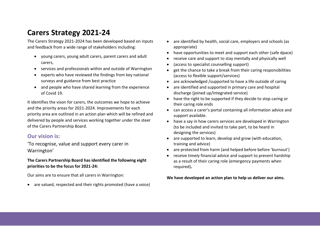## **Carers Strategy 2021-24**

The Carers Strategy 2021-2024 has been developed based on inputs and feedback from a wide range of stakeholders including:

- young carers, young adult carers, parent carers and adult carers,
- services and professionals within and outside of Warrington
- experts who have reviewed the findings from key national surveys and guidance from best practice
- and people who have shared learning from the experience of Covid 19.

It identifies the vison for carers, the outcomes we hope to achieve and the priority areas for 2021-2024. Improvements for each priority area are outlined in an action plan which will be refined and delivered by people and services working together under the steer of the Carers Partnership Board.

### **Our vision is:**

'To recognise, value and support every carer in Warrington'

### **The Carers Partnership Board has identified the following eight priorities to be the focus for 2021-24:**

Our aims are to ensure that all carers in Warrington:

are valued, respected and their rights promoted (have a voice)

- are identified by health, social care, employers and schools (as appropriate)
- have opportunities to meet and support each other (safe dpace)
- receive care and support to stay mentally and physically well
- (access to specialist counselling support)
- get the chance to take a break from their caring responsibilities (access to flexible support/services)
- are acknowledged /supported to have a life outside of caring
- are identified and supported in primary care and hospital discharge (joined up/integrated service)
- have the right to be supported if they decide to stop caring or their caring role ends
- can access a carer's portal containing all information advice and support available.
- have a say in how carers services are developed in Warrington (to be included and invited to take part, to be heard in designing the services)
- are supported to learn, develop and grow (with education, training and advice)
- are protected from harm (and helped before before 'burnout')
- receive timely financial advice and support to prevent hardship as a result of their caring role (emergency payments when required)**.**

**We have developed an action plan to help us deliver our aims.**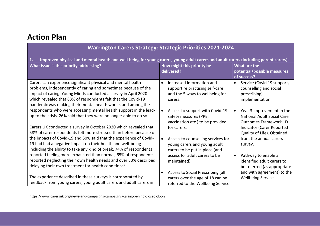## **Action Plan**

 $\overline{\phantom{a}}$ 

| <b>Warrington Carers Strategy: Strategic Priorities 2021-2024</b>                                                                                                                                                                                                                                                                 |                                                                                                                         |                                                                                                             |
|-----------------------------------------------------------------------------------------------------------------------------------------------------------------------------------------------------------------------------------------------------------------------------------------------------------------------------------|-------------------------------------------------------------------------------------------------------------------------|-------------------------------------------------------------------------------------------------------------|
| Improved physical and mental health and well-being for young carers, young adult carers and adult carers (including parent carers).<br>1.                                                                                                                                                                                         |                                                                                                                         |                                                                                                             |
| What issue is this priority addressing?                                                                                                                                                                                                                                                                                           | How might this priority be<br>delivered?                                                                                | What are the<br>potential/possible measures<br>of success?                                                  |
| Carers can experience significant physical and mental health<br>problems, independently of caring and sometimes because of the<br>impact of caring. Young Minds conducted a survey in April 2020<br>which revealed that 83% of respondents felt that the Covid-19<br>pandemic was making their mental health worse, and among the | Increased information and<br>$\bullet$<br>support re practising self-care<br>and the 5 ways to wellbeing for<br>carers. | Service (Covid 19 support,<br>$\bullet$<br>counselling and social<br>prescribing)<br>implementation.        |
| respondents who were accessing mental health support in the lead-<br>up to the crisis, 26% said that they were no longer able to do so.                                                                                                                                                                                           | Access to support with Covid-19<br>safety measures (PPE,<br>vaccination etc.) to be provided                            | Year 3 improvement in the<br>$\bullet$<br><b>National Adult Social Care</b><br><b>Outcomes Framework 1D</b> |
| Carers UK conducted a survey in October 2020 which revealed that<br>58% of carer respondents felt more stressed than before because of                                                                                                                                                                                            | for carers.                                                                                                             | Indicator (Carer Reported<br>Quality of Life). Obtained                                                     |
| the impacts of Covid-19 and 50% said that the experience of Covid-<br>19 had had a negative impact on their health and well-being<br>including the ability to take any kind of break. 74% of respondents                                                                                                                          | Access to counselling services for<br>young carers and young adult<br>carers to be put in place (and                    | from the annual carers<br>survey.                                                                           |
| reported feeling more exhausted than normal, 65% of respondents<br>reported neglecting their own health needs and over 33% described<br>delaying their own treatment for health conditions <sup>2</sup> .                                                                                                                         | access for adult carers to be<br>maintained).                                                                           | Pathway to enable all<br>$\bullet$<br>identified adult carers to<br>be referred (as appropriate             |
| The experience described in these surveys is corroborated by<br>feedback from young carers, young adult carers and adult carers in                                                                                                                                                                                                | Access to Social Prescribing (all<br>$\bullet$<br>carers over the age of 18 can be<br>referred to the Wellbeing Service | and with agreement) to the<br>Wellbeing Service.                                                            |

<sup>&</sup>lt;sup>2</sup> https://www.carersuk.org/news-and-campaigns/campaigns/caring-behind-closed-doors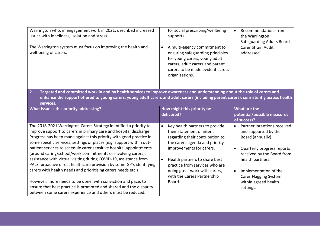| Warrington who, in engagement work in 2021, described increased<br>issues with loneliness, isolation and stress.<br>The Warrington system must focus on improving the health and<br>well-being of carers.                                                                                                                                                                                                                                                                                                                                                                                                                                                                                                                                                                     | for social prescribing/wellbeing<br>support).<br>A multi-agency commitment to<br>$\bullet$<br>ensuring safeguarding principles<br>for young carers, young adult<br>carers, adult carers and parent<br>carers to be made evident across<br>organisations.                                                               | Recommendations from<br>$\bullet$<br>the Warrington<br><b>Safeguarding Adults Board</b><br><b>Carer Strain Audit</b><br>addressed.                                                                                                                                  |  |
|-------------------------------------------------------------------------------------------------------------------------------------------------------------------------------------------------------------------------------------------------------------------------------------------------------------------------------------------------------------------------------------------------------------------------------------------------------------------------------------------------------------------------------------------------------------------------------------------------------------------------------------------------------------------------------------------------------------------------------------------------------------------------------|------------------------------------------------------------------------------------------------------------------------------------------------------------------------------------------------------------------------------------------------------------------------------------------------------------------------|---------------------------------------------------------------------------------------------------------------------------------------------------------------------------------------------------------------------------------------------------------------------|--|
| Targeted and committed work in and by health services to improve awareness and understanding about the role of carers and<br>2.<br>enhance the support offered to young carers, young adult carers and adult carers (including parent carers), consistently across health<br>services.                                                                                                                                                                                                                                                                                                                                                                                                                                                                                        |                                                                                                                                                                                                                                                                                                                        |                                                                                                                                                                                                                                                                     |  |
| What issue is this priority addressing?                                                                                                                                                                                                                                                                                                                                                                                                                                                                                                                                                                                                                                                                                                                                       | How might this priority be<br>delivered?                                                                                                                                                                                                                                                                               | What are the<br>potential/possible measures<br>of success?                                                                                                                                                                                                          |  |
| The 2018-2021 Warrington Carers Strategy identified a priority to<br>improve support to carers in primary care and hospital discharge.<br>Progress has been made against this priority with good practice in<br>some specific services, settings or places (e.g. support within out-<br>patient services to schedule carer sensitive hospital appointments<br>(around caring/school/work commitments or involving carers),<br>assistance with virtual visiting during COVID-19, assistance from<br>PALS, proactive direct healthcare provision by some GP's identifying<br>carers with health needs and prioritising carers needs etc.)<br>However, more needs to be done, with conviction and pace, to<br>ensure that best practice is promoted and shared and the disparity | Key health partners to provide<br>$\bullet$<br>their statement of intent<br>regarding their contribution to<br>the carers agenda and priority<br>improvements for carers.<br>Health partners to share best<br>practice from services who are<br>doing great work with carers,<br>with the Carers Partnership<br>Board. | Partner intentions received<br>$\bullet$<br>and supported by the<br>Board (annually).<br>Quarterly progress reports<br>received by the Board from<br>health partners.<br>Implementation of the<br><b>Carer Flagging System</b><br>within agreed health<br>settings. |  |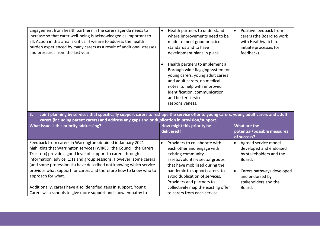| Engagement from health partners in the carers agenda needs to<br>increase so that carer well-being is acknowledged as important to<br>all. Action in this area is critical if we are to address the health<br>burden experienced by many carers as a result of additional stresses<br>and pressures from the last year.                                                                                                                                                                                                                                                      | Health partners to understand<br>$\bullet$<br>where improvements need to be<br>made to meet good practice<br>standards and to have<br>development plans in place.<br>Health partners to implement a<br>Borough wide flagging system for<br>young carers, young adult carers<br>and adult carers, on medical<br>notes, to help with improved<br>identification, communication<br>and better service<br>responsiveness. | Positive feedback from<br>$\bullet$<br>carers (the Board to work<br>with Healthwatch to<br>initiate processes for<br>feedback).                                                    |
|------------------------------------------------------------------------------------------------------------------------------------------------------------------------------------------------------------------------------------------------------------------------------------------------------------------------------------------------------------------------------------------------------------------------------------------------------------------------------------------------------------------------------------------------------------------------------|-----------------------------------------------------------------------------------------------------------------------------------------------------------------------------------------------------------------------------------------------------------------------------------------------------------------------------------------------------------------------------------------------------------------------|------------------------------------------------------------------------------------------------------------------------------------------------------------------------------------|
| 3.<br>Joint planning by services that specifically support carers to reshape the service offer to young carers, young adult carers and adult<br>carers (including parent carers) and address any gaps and or duplication in provision/support.                                                                                                                                                                                                                                                                                                                               |                                                                                                                                                                                                                                                                                                                                                                                                                       |                                                                                                                                                                                    |
| What issue is this priority addressing?                                                                                                                                                                                                                                                                                                                                                                                                                                                                                                                                      | How might this priority be<br>delivered?                                                                                                                                                                                                                                                                                                                                                                              | <b>What are the</b><br>potential/possible measures<br>of success?                                                                                                                  |
| Feedback from carers in Warrington obtained in January 2021<br>highlights that Warrington services (WIRED, the Council, the Carers<br>Trust etc) provide a good level of support to carers through<br>information, advice, 1:1s and group sessions. However, some carers<br>(and some professionals) have described not knowing which service<br>provides what support for carers and therefore how to know who to<br>approach for what.<br>Additionally, carers have also identified gaps in support. Young<br>Carers wish schools to give more support and show empathy to | Providers to collaborate with<br>$\bullet$<br>each other and engage with<br>existing community<br>assets/voluntary sector groups<br>that have mobilised during the<br>pandemic to support carers, to<br>avoid duplication of services.<br>Providers and partners to<br>collectively map the existing offer<br>to carers from each service.                                                                            | Agreed service model<br>$\bullet$<br>developed and endorsed<br>by stakeholders and the<br>Board.<br>Carers pathways developed<br>and endorsed by<br>stakeholders and the<br>Board. |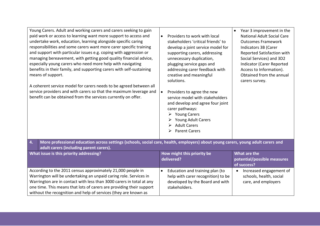| Young Carers. Adult and working carers and carers seeking to gain<br>paid work or access to learning want more support to access and<br>undertake work, education, learning alongside specific caring<br>responsibilities and some carers want more carer specific training<br>and support with particular issues e.g. coping with aggression or<br>managing bereavement, with getting good quality financial advice,<br>especially young carers who need more help with navigating<br>benefits in their family, and supporting carers with self-sustaining<br>means of support.<br>A coherent service model for carers needs to be agreed between all<br>service providers and with carers so that the maximum leverage and<br>benefit can be obtained from the services currently on offer. | Providers to work with local<br>$\bullet$<br>stakeholders 'critical friends' to<br>develop a joint service model for<br>supporting carers, addressing<br>unnecessary duplication,<br>plugging service gaps and<br>addressing carer feedback with<br>creative and meaningful<br>solutions.<br>Providers to agree the new<br>service model with stakeholders<br>and develop and agree four joint<br>carer pathways:<br>$\triangleright$ Young Carers<br><b>Young Adult Carers</b><br><b>Adult Carers</b><br>➤<br><b>Parent Carers</b> | Year 3 improvement in the<br><b>National Adult Social Care</b><br><b>Outcomes Framework</b><br>Indicators 3B (Carer<br>Reported Satisfaction with<br>Social Services) and 3D2<br>Indicator (Carer Reported<br>Access to Information).<br>Obtained from the annual<br>carers survey. |  |
|-----------------------------------------------------------------------------------------------------------------------------------------------------------------------------------------------------------------------------------------------------------------------------------------------------------------------------------------------------------------------------------------------------------------------------------------------------------------------------------------------------------------------------------------------------------------------------------------------------------------------------------------------------------------------------------------------------------------------------------------------------------------------------------------------|-------------------------------------------------------------------------------------------------------------------------------------------------------------------------------------------------------------------------------------------------------------------------------------------------------------------------------------------------------------------------------------------------------------------------------------------------------------------------------------------------------------------------------------|-------------------------------------------------------------------------------------------------------------------------------------------------------------------------------------------------------------------------------------------------------------------------------------|--|
| 4.<br>More professional education across settings (schools, social care, health, employers) about young carers, young adult carers and<br>adult carers (including parent carers).                                                                                                                                                                                                                                                                                                                                                                                                                                                                                                                                                                                                             |                                                                                                                                                                                                                                                                                                                                                                                                                                                                                                                                     |                                                                                                                                                                                                                                                                                     |  |
| What issue is this priority addressing?                                                                                                                                                                                                                                                                                                                                                                                                                                                                                                                                                                                                                                                                                                                                                       | How might this priority be<br>delivered?                                                                                                                                                                                                                                                                                                                                                                                                                                                                                            | What are the<br>potential/possible measures<br>of success?                                                                                                                                                                                                                          |  |
| According to the 2011 census approximately 21,000 people in<br>Warrington will be undertaking an unpaid caring role. Services in<br>Warrington are in contact with less than 3000 carers in total at any<br>one time. This means that lots of carers are providing their support<br>without the recognition and help of services (they are known as                                                                                                                                                                                                                                                                                                                                                                                                                                           | Education and training plan (to<br>$\bullet$<br>help with carer recognition) to be<br>developed by the Board and with<br>stakeholders.                                                                                                                                                                                                                                                                                                                                                                                              | Increased engagement of<br>schools, health, social<br>care, and employers                                                                                                                                                                                                           |  |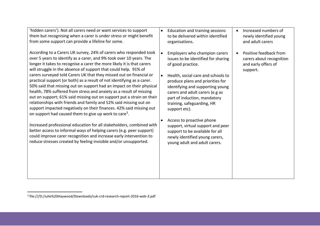| 'hidden carers'). Not all carers need or want services to support<br>them but recognising when a carer is under stress or might benefit<br>from some support can provide a lifeline for some.                                                                                                                                                                                                                                                                                                                                                                                                                                                                                                                                                                                                              | Increased numbers of<br>Education and training sessions<br>$\bullet$<br>$\bullet$<br>to be delivered within identified<br>newly identified young<br>and adult carers<br>organisations.                                                                                                                                                                                                                                          |
|------------------------------------------------------------------------------------------------------------------------------------------------------------------------------------------------------------------------------------------------------------------------------------------------------------------------------------------------------------------------------------------------------------------------------------------------------------------------------------------------------------------------------------------------------------------------------------------------------------------------------------------------------------------------------------------------------------------------------------------------------------------------------------------------------------|---------------------------------------------------------------------------------------------------------------------------------------------------------------------------------------------------------------------------------------------------------------------------------------------------------------------------------------------------------------------------------------------------------------------------------|
| According to a Carers UK survey, 24% of carers who responded took<br>over 5 years to identify as a carer, and 9% took over 10 years. The<br>longer it takes to recognise a carer the more likely it is that carers<br>will struggle in the absence of support that could help. 91% of<br>carers surveyed told Carers UK that they missed out on financial or<br>practical support (or both) as a result of not identifying as a carer.<br>50% said that missing out on support had an impact on their physical<br>health, 78% suffered from stress and anxiety as a result of missing<br>out on support; 61% said missing out on support put a strain on their<br>relationships with friends and family and 52% said missing out on<br>support impacted negatively on their finances. 42% said missing out | Employers who champion carers<br>Positive feedback from<br>issues to be identified for sharing<br>carers about recognition<br>of good practice.<br>and early offers of<br>support.<br>Health, social care and schools to<br>$\bullet$<br>produce plans and priorities for<br>identifying and supporting young<br>carers and adult carers (e.g as<br>part of induction, mandatory<br>training, safeguarding, HR<br>support etc). |
| on support had caused them to give up work to care <sup>3</sup> .<br>Increased professional education for all stakeholders, combined with<br>better access to informal ways of helping carers (e.g. peer support)<br>could improve carer recognition and increase early intervention to<br>reduce stresses created by feeling invisible and/or unsupported.                                                                                                                                                                                                                                                                                                                                                                                                                                                | Access to proactive phone<br>support, virtual support and peer<br>support to be available for all<br>newly identified young carers,<br>young adult and adult carers.                                                                                                                                                                                                                                                            |

 3 file:///D:/Julie%20Haywood/Downloads/cuk-crd-research-report-2016-web-3.pdf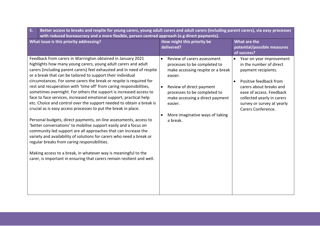| 5. | Better access to breaks and respite for young carers, young adult carers and adult carers (including parent carers), via easy processes                                                                                                                                                                                                                                                                                                                                                                                                                                                                                                                                                                                                                                                                                                                                                                                                                                                                                                                                                                                                                                                   |                                                                                                                                                                                                                                                                                   |                                                                                                                                                                                                                                               |  |
|----|-------------------------------------------------------------------------------------------------------------------------------------------------------------------------------------------------------------------------------------------------------------------------------------------------------------------------------------------------------------------------------------------------------------------------------------------------------------------------------------------------------------------------------------------------------------------------------------------------------------------------------------------------------------------------------------------------------------------------------------------------------------------------------------------------------------------------------------------------------------------------------------------------------------------------------------------------------------------------------------------------------------------------------------------------------------------------------------------------------------------------------------------------------------------------------------------|-----------------------------------------------------------------------------------------------------------------------------------------------------------------------------------------------------------------------------------------------------------------------------------|-----------------------------------------------------------------------------------------------------------------------------------------------------------------------------------------------------------------------------------------------|--|
|    | with reduced bureaucracy and a more flexible, person centred approach (e.g direct payments).                                                                                                                                                                                                                                                                                                                                                                                                                                                                                                                                                                                                                                                                                                                                                                                                                                                                                                                                                                                                                                                                                              |                                                                                                                                                                                                                                                                                   |                                                                                                                                                                                                                                               |  |
|    | What issue is this priority addressing?                                                                                                                                                                                                                                                                                                                                                                                                                                                                                                                                                                                                                                                                                                                                                                                                                                                                                                                                                                                                                                                                                                                                                   | How might this priority be<br>delivered?                                                                                                                                                                                                                                          | What are the<br>potential/possible measures<br>of success?                                                                                                                                                                                    |  |
|    | Feedback from carers in Warrington obtained in January 2021<br>highlights how many young carers, young adult carers and adult<br>carers (including parent carers) feel exhausted and in need of respite<br>or a break that can be tailored to support their individual<br>circumstances. For some carers the break or respite is required for<br>rest and recuperation with 'time off' from caring responsibilities,<br>sometimes overnight. For others the support is increased access to<br>face to face services, increased emotional support, practical help<br>etc. Choice and control over the support needed to obtain a break is<br>crucial as is easy access processes to put the break in place.<br>Personal budgets, direct payments, on-line assessments, access to<br>'better conversations' to mobilise support easily and a focus on<br>community led support are all approaches that can increase the<br>variety and availability of solutions for carers who need a break or<br>regular breaks from caring responsibilities.<br>Making access to a break, in whatever way is meaningful to the<br>carer, is important in ensuring that carers remain resilient and well. | Review of carers assessment<br>processes to be completed to<br>make accessing respite or a break<br>easier.<br>Review of direct payment<br>$\bullet$<br>processes to be completed to<br>make accessing a direct payment<br>easier.<br>More imaginative ways of taking<br>a break. | Year on year improvement<br>in the number of direct<br>payment recipients.<br>Positive feedback from<br>carers about breaks and<br>ease of access. Feedback<br>collected yearly in carers<br>survey or survey at yearly<br>Carers Conference. |  |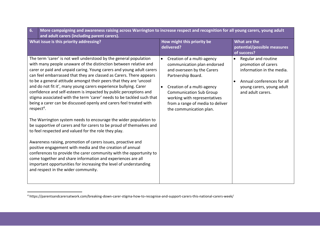| 6.<br>More campaigning and awareness raising across Warrington to increase respect and recognition for all young carers, young adult<br>and adult carers (including parent carers).                                                                                                                                                                                                                                                                                                                                                                                                                                                                                                                                                                                                                                                                                                                                                                                                                                                                                                                                                                                                                                                                           |                                                                                                                                                                                                                                                                                                        |                                                                                                                                                                      |
|---------------------------------------------------------------------------------------------------------------------------------------------------------------------------------------------------------------------------------------------------------------------------------------------------------------------------------------------------------------------------------------------------------------------------------------------------------------------------------------------------------------------------------------------------------------------------------------------------------------------------------------------------------------------------------------------------------------------------------------------------------------------------------------------------------------------------------------------------------------------------------------------------------------------------------------------------------------------------------------------------------------------------------------------------------------------------------------------------------------------------------------------------------------------------------------------------------------------------------------------------------------|--------------------------------------------------------------------------------------------------------------------------------------------------------------------------------------------------------------------------------------------------------------------------------------------------------|----------------------------------------------------------------------------------------------------------------------------------------------------------------------|
| What issue is this priority addressing?                                                                                                                                                                                                                                                                                                                                                                                                                                                                                                                                                                                                                                                                                                                                                                                                                                                                                                                                                                                                                                                                                                                                                                                                                       | How might this priority be<br>delivered?                                                                                                                                                                                                                                                               | What are the<br>potential/possible measures<br>of success?                                                                                                           |
| The term 'carer' is not well understood by the general population<br>with many people unaware of the distinction between relative and<br>carer or paid and unpaid caring. Young carers and young adult carers<br>can feel embarrassed that they are classed as Carers. There appears<br>to be a general attitude amongst their peers that they are 'uncool<br>and do not fit it', many young carers experience bullying. Carer<br>confidence and self-esteem is impacted by public perceptions and<br>stigma associated with the term 'carer' needs to be tackled such that<br>being a carer can be discussed openly and carers feel treated with<br>respect <sup>4</sup> .<br>The Warrington system needs to encourage the wider population to<br>be supportive of carers and for carers to be proud of themselves and<br>to feel respected and valued for the role they play.<br>Awareness raising, promotion of carers issues, proactive and<br>positive engagement with media and the creation of annual<br>conferences to provide the carer community with the opportunity to<br>come together and share information and experiences are all<br>important opportunities for increasing the level of understanding<br>and respect in the wider community. | Creation of a multi-agency<br>$\bullet$<br>communication plan endorsed<br>and overseen by the Carers<br>Partnership Board.<br>Creation of a multi-agency<br>$\bullet$<br><b>Communication Sub Group</b><br>working with representatives<br>from a range of media to deliver<br>the communication plan. | Regular and routine<br>$\bullet$<br>promotion of carers<br>information in the media.<br>Annual conferences for all<br>young carers, young adult<br>and adult carers. |

 $\overline{\phantom{a}}$ 

<sup>4</sup> https://parentsandcarersatwork.com/breaking-down-carer-stigma-how-to-recognise-and-support-carers-this-national-carers-week/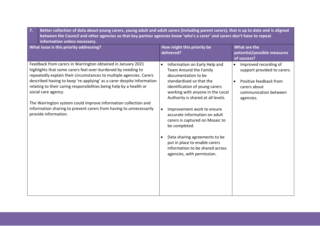| Better collection of data about young carers, young adult and adult carers (including parent carers), that is up to date and is aligned<br>7.<br>between the Council and other agencies so that key partner agencies know 'who's a carer' and carers don't have to repeat<br>information unless necessary.                                                                                                                                                                                                                                |                                                                                                                                                                                                                                                                                                                                                                                                                                                                                           |                                                                                                                                                                |
|-------------------------------------------------------------------------------------------------------------------------------------------------------------------------------------------------------------------------------------------------------------------------------------------------------------------------------------------------------------------------------------------------------------------------------------------------------------------------------------------------------------------------------------------|-------------------------------------------------------------------------------------------------------------------------------------------------------------------------------------------------------------------------------------------------------------------------------------------------------------------------------------------------------------------------------------------------------------------------------------------------------------------------------------------|----------------------------------------------------------------------------------------------------------------------------------------------------------------|
| What issue is this priority addressing?                                                                                                                                                                                                                                                                                                                                                                                                                                                                                                   | How might this priority be<br>delivered?                                                                                                                                                                                                                                                                                                                                                                                                                                                  | What are the<br>potential/possible measures<br>of success?                                                                                                     |
| Feedback from carers in Warrington obtained in January 2021<br>highlights that some carers feel over-burdened by needing to<br>repeatedly explain their circumstances to multiple agencies. Carers<br>described having to keep 're-applying' as a carer despite information<br>relating to their caring responsibilities being help by a health or<br>social care agency.<br>The Warrington system could improve information collection and<br>information sharing to prevent carers from having to unnecessarily<br>provide information. | Information on Early Help and<br>Team Around the Family<br>documentation to be<br>standardised so that the<br>identification of young carers<br>working with anyone in the Local<br>Authority is shared at all levels.<br>Improvement work to ensure<br>$\bullet$<br>accurate information on adult<br>carers is captured on Mosaic to<br>be completed.<br>Data sharing agreements to be<br>put in place to enable carers<br>information to be shared across<br>agencies, with permission. | Improved recording of<br>$\bullet$<br>support provided to carers.<br>Positive feedback from<br>$\bullet$<br>carers about<br>communication between<br>agencies. |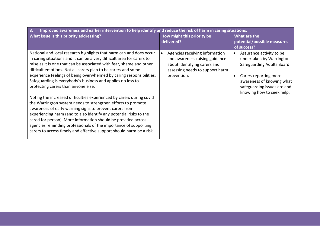| 8.<br>Improved awareness and earlier intervention to help identify and reduce the risk of harm in caring situations.                                                                                                                                                                                                                                                                                                                                                                                                                                                                                                                                                                                                                                                                                                                                                                                                                                       |                                                                                                                                                                 |                                                                                                                                                                                                      |
|------------------------------------------------------------------------------------------------------------------------------------------------------------------------------------------------------------------------------------------------------------------------------------------------------------------------------------------------------------------------------------------------------------------------------------------------------------------------------------------------------------------------------------------------------------------------------------------------------------------------------------------------------------------------------------------------------------------------------------------------------------------------------------------------------------------------------------------------------------------------------------------------------------------------------------------------------------|-----------------------------------------------------------------------------------------------------------------------------------------------------------------|------------------------------------------------------------------------------------------------------------------------------------------------------------------------------------------------------|
| What issue is this priority addressing?                                                                                                                                                                                                                                                                                                                                                                                                                                                                                                                                                                                                                                                                                                                                                                                                                                                                                                                    | How might this priority be<br>delivered?                                                                                                                        | What are the<br>potential/possible measures<br>of success?                                                                                                                                           |
| National and local research highlights that harm can and does occur<br>in caring situations and it can be a very difficult area for carers to<br>raise as it is one that can be associated with fear, shame and other<br>difficult emotions. Not all carers plan to be carers and some<br>experience feelings of being overwhelmed by caring responsibilities.<br>Safeguarding is everybody's business and applies no less to<br>protecting carers than anyone else.<br>Noting the increased difficulties experienced by carers during covid<br>the Warrington system needs to strengthen efforts to promote<br>awareness of early warning signs to prevent carers from<br>experiencing harm (and to also identify any potential risks to the<br>cared for person). More information should be provided across<br>agencies reminding professionals of the importance of supporting<br>carers to access timely and effective support should harm be a risk. | Agencies receiving information<br>$\bullet$<br>and awareness raising guidance<br>about identifying carers and<br>assessing needs to support harm<br>prevention. | Assurance activity to be<br>undertaken by Warrington<br>Safeguarding Adults Board.<br>Carers reporting more<br>awareness of knowing what<br>safeguarding issues are and<br>knowing how to seek help. |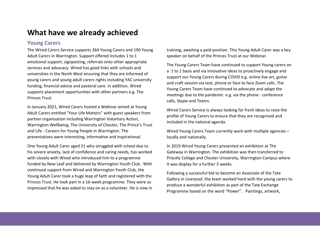## **What have we already achieved**

### **Young Carers**

The Wired Carers Service supports 364 Young Carers and 190 Young Adult Carers in Warrington. Support offered includes 1 to 1 emotional support, signposting, referrals onto other appropriate services and advocacy. Wired has good links with schools and universities in the North West ensuring that they are informed of young carers and young adult carers rights including YAC university funding, financial advice and pastoral care. In addition, Wired supports placement opportunities with other partners e.g. The Princes Trust.

In January 2021, Wired Carers hosted a Webinar aimed at Young Adult Carers entitled "Your Life Matters" with guest speakers from partner organisation including Warrington Voluntary Action, Warrington Wellbeing, The University of Chester, The Prince's Trust and Life - Careers for Young People in Warrington. The presentations were interesting, informative and inspirational.

One Young Adult Carer aged 21 who struggled with school due to his severe anxiety, lack of confidence and caring needs, has worked with closely with Wired who introduced him to a programme funded by New Leaf and delivered by Warrington Youth Club. With continued support from Wired and Warrington Youth Club, the Young Adult Carer took a huge leap of faith and registered with the Princes Trust. He took part in a 16-week programme. They were so impressed that he was asked to stay on as a volunteer. He is now in training, awaiting a paid position. This Young Adult Carer was a key speaker on behalf of the Princes Trust at our Webinar.

The Young Carers Team have continued to support Young carers on a 1 to 1 basis and via innovative ideas to proactively engage and support our Young Carers during COVID e.g. online live art, guitar and craft session via text, phone or face to face Zoom calls. The Young Carers Team have continued to advocate and adapt the meetings due to the pandemic e.g. via the phone - conference calls, Skype and Teams.

Wired Carers Service is always looking for fresh ideas to raise the profile of Young Carers to ensure that they are recognised and included in the national agenda.

Wired Young Carers Team currently work with multiple agencies – locally and nationally.

In 2019 Wired Young Carers presented an exhibition at The Gateway in Warrington. The exhibition was then transferred to Priestly College and Chester University, Warrington Campus where it was display for a further 3 weeks.

Following a successful bid to become an Associate of the Tate Gallery in Liverpool, the team worked hard with the young carers to produce a wonderful exhibition as part of the Tate Exchange Programme based on the word "Power". Paintings, artwork,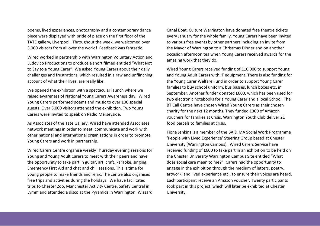poems, lived experiences, photography and a contemporary dance piece were displayed with pride of place on the first floor of the TATE gallery, Liverpool. Throughout the week, we welcomed over 3,000 visitors from all over the world! Feedback was fantastic.

Wired worked in partnership with Warrington Voluntary Action and Ludovico Productions to produce a short filmed entitled "What Not to Say to a Young Carer". We asked Young Carers about their daily challenges and frustrations, which resulted in a raw and unflinching account of what their lives, are really like.

We opened the exhibition with a spectacular launch where we raised awareness of National Young Carers Awareness day. Wired Young Carers performed poems and music to over 100 special guests. Over 3,000 visitors attended the exhibition. Two Young Carers were invited to speak on Radio Merseyside.

As Associates of the Tate Gallery, Wired have attended Associates network meetings in order to meet, communicate and work with other national and international organisations in order to promote Young Carers and work in partnership.

Wired Carers Centre organise weekly Thursday evening sessions for Young and Young Adult Carers to meet with their peers and have the opportunity to take part in guitar, art, craft, karaoke, singing, Emergency First Aid and chat and chill sessions. This is time for young people to make friends and relax. The centre also organises free trips and activities during the holidays. We have facilitated trips to Chester Zoo, Manchester Activity Centre, Safety Central in Lymm and attended a disco at the Pyramids in Warrington, Wizzard

Canal Boat. Culture Warrington have donated free theatre tickets every January for the whole family. Young Carers have been invited to various free events by other partners including an invite from the Mayor of Warrington to a Christmas Dinner and on another occasion afternoon tea when Young Carers received awards for the amazing work that they do.

Wired Young Carers received funding of £10,000 to support Young and Young Adult Carers with IT equipment. There is also funding for the Young Carer Welfare Fund in order to support Young Carer families to buy school uniform, bus passes, lunch boxes etc. in September. Another funder donated £600, which has been used for two electronic notebooks for a Young Carer and a local School. The BT Call Centre have chosen Wired Young Carers as their chosen charity for the next 12 months. They funded £300 of Amazon vouchers for families at Crisis. Warrington Youth Club deliver 21 food parcels to families at crisis.

Fiona Jenkins is a member of the BA & MA Social Work Programme 'People with Lived Experience' Steering Group based at Chester University (Warrington Campus). Wired Carers Service have received funding of £600 to take part in an exhibition to be held on the Chester University Warrington Campus Site entitled "What does social care mean to me?". Carers had the opportunity to engage in the exhibition through the medium of letters, poetry, artwork, and lived experience etc., to ensure their voices are heard. Each participant receive an Amazon voucher. Twenty participants took part in this project, which will later be exhibited at Chester University.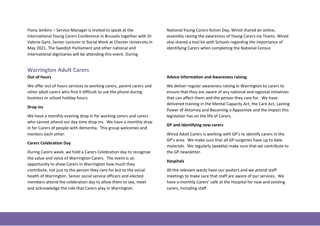Fiona Jenkins – Service Manager is invited to speak at the International Young Carers Conference in Brussels together with Dr Valerie Gant, Senior Lecturer in Social Work at Chester University in May 2021. The Swedish Parliament and other national and international dignitaries will be attending this event. During

### **Warrington Adult Carers**

#### **Out of hours**

We offer out of hours services to working carers, parent carers and other adult carers who find it difficult to use the phone during business or school holiday hours.

#### **Drop ins**

We have a monthly evening drop in for working carers and carers who cannot attend our day time drop ins. We have a monthly drop in for Carers of people with dementia. This group welcomes and mentors each other.

#### **Carers Celebration Day**

During Carers week, we hold a Carers Celebration day to recognise the value and voice of Warrington Carers. The event is an opportunity to show Carers in Warrington how much they contribute, not just to the person they care for but to the social health of Warrington. Senior social service officers and elected members attend the celebration day to allow them to see, meet and acknowledge the role that Carers play in Warrington.

National Young Carers Action Day, Wired shared an online, assembly raising the awareness of Young Carers via Teams. Wired also shared a tool kit with Schools regarding the importance of identifying Carers when completing the National Census

#### **Advice Information and Awareness raising**

We deliver regular awareness raising in Warrington to carers to ensure that they are aware of any national and regional initiatives that can affect them and the person they care for. We have delivered training in the Mental Capacity Act, the Care Act, Lasting Power of Attorney and Becoming a Appointee and the impact this legislation has on the life of Carers.

#### **GP and identifying new carers**

Wired Adult Carers is working with GP's to identify carers in the GP's area. We make sure that all GP surgeries have up to date materials. We regularly (weekly) make sure that we contribute to the GP newsletter.

#### **Hospitals**

All the relevant wards have our posters and we attend staff meetings to make sure that staff are aware of our services. We have a monthly Carers' café at the Hospital for new and existing carers, including staff.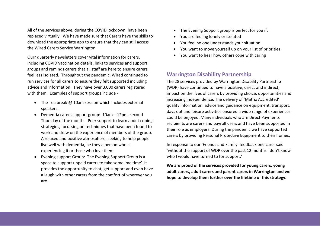All of the services above, during the COVID lockdown, have been replaced virtually. We have made sure that Carers have the skills to download the appropriate app to ensure that they can still access the Wired Carers Service Warrington

Ourr quarterly newsletters cover vital information for carers, including COVID vaccination details, links to services and support groups and reminds carers that all staff are here to ensure carers feel less isolated. Throughout the pandemic, Wired continued to run services for all carers to ensure they felt supported including advice and information. They have over 3,000 carers registered with them. Examples of support groups include -

- $\bullet$  The Tea break @ 10am session which includes external speakers.
- Dementia carers support group: 10am—12pm, second Thursday of the month. Peer support to learn about coping strategies, focussing on techniques that have been found to work and draw on the experience of members of the group. A relaxed and positive atmosphere, seeking to help people live well with dementia, be they a person who is experiencing it or those who love them.
- Evening support Group: The Evening Support Group is a space to support unpaid carers to take some 'me time'. It provides the opportunity to chat, get support and even have a laugh with other carers from the comfort of wherever you are.
- The Evening Support group is perfect for you if:
- You are feeling lonely or isolated
- You feel no one understands your situation
- You want to move yourself up on your list of priorities
- You want to hear how others cope with caring

### **Warrington Disability Partnership**

The 28 services provided by Warrington Disability Partnership (WDP) have continued to have a positive, direct and indirect, impact on the lives of carers by providing choice, opportunities and increasing independence. The delivery of 'Matrix Accredited' quality information, advice and guidance on equipment, transport, days out and leisure activities ensured a wide range of experiences could be enjoyed. Many individuals who are Direct Payments recipients are carers and payroll users and have been supported in their role as employers. During the pandemic we have supported carers by providing Personal Protective Equipment to their homes.

In response to our 'Friends and Family' feedback one carer said 'without the support of WDP over the past 12 months I don't know who I would have turned to for support.'

**We are proud of the services provided for young carers, young adult carers, adult carers and parent carers in Warrington and we hope to develop them further over the lifetime of this strategy.**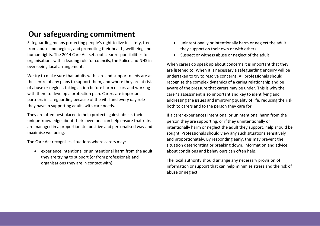## **Our safeguarding commitment**

Safeguarding means protecting people's right to live in safety, free from abuse and neglect, and promoting their health, wellbeing and human rights. The 2014 Care Act sets out clear responsibilities for organisations with a leading role for councils, the Police and NHS in overseeing local arrangements.

We try to make sure that adults with care and support needs are at the centre of any plans to support them, and where they are at risk of abuse or neglect, taking action before harm occurs and working with them to develop a protection plan. Carers are important partners in safeguarding because of the vital and every day role they have in supporting adults with care needs.

They are often best placed to help protect against abuse, their unique knowledge about their loved one can help ensure that risks are managed in a proportionate, positive and personalised way and maximise wellbeing.

The Care Act recognises situations where carers may:

 experience intentional or unintentional harm from the adult they are trying to support (or from professionals and organisations they are in contact with)

- unintentionally or intentionally harm or neglect the adult they support on their own or with others
- Suspect or witness abuse or neglect of the adult

When carers do speak up about concerns it is important that they are listened to. When it is necessary a safeguarding enquiry will be undertaken to try to resolve concerns. All professionals should recognise the complex dynamics of a caring relationship and be aware of the pressure that carers may be under. This is why the carer's assessment is so important and key to identifying and addressing the issues and improving quality of life, reducing the risk both to carers and to the person they care for.

If a carer experiences intentional or unintentional harm from the person they are supporting, or if they unintentionally or intentionally harm or neglect the adult they support, help should be sought. Professionals should view any such situations sensitively and proportionately. By responding early, this may prevent the situation deteriorating or breaking down. Information and advice about conditions and behaviours can often help.

The local authority should arrange any necessary provision of information or support that can help minimise stress and the risk of abuse or neglect.